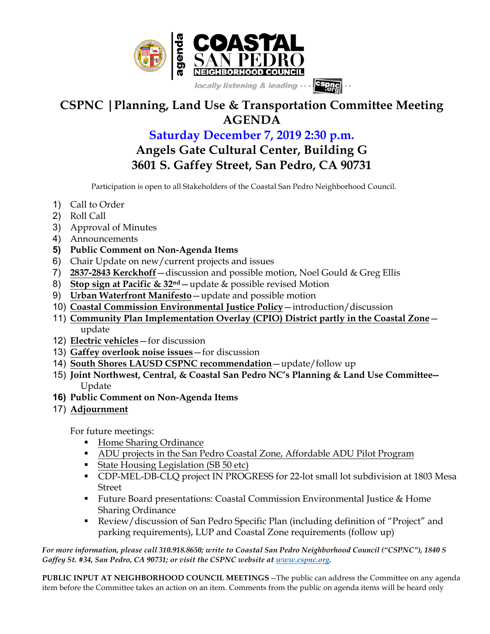

## **CSPNC |Planning, Land Use & Transportation Committee Meeting AGENDA**

## **Saturday December 7, 2019 2:30 p.m. Angels Gate Cultural Center, Building G 3601 S. Gaffey Street, San Pedro, CA 90731**

Participation is open to all Stakeholders of the Coastal San Pedro Neighborhood Council.

- 1) Call to Order
- 2) Roll Call
- 3) Approval of Minutes
- 4) Announcements
- **5) Public Comment on Non-Agenda Items**
- 6) Chair Update on new/current projects and issues
- 7) **2837-2843 Kerckhoff**—discussion and possible motion, Noel Gould & Greg Ellis
- 8) **Stop sign at Pacific & 32nd**—update & possible revised Motion
- 9) **Urban Waterfront Manifesto**—update and possible motion
- 10) **Coastal Commission Environmental Justice Policy**—introduction/discussion
- 11) **Community Plan Implementation Overlay (CPIO) District partly in the Coastal Zone** update
- 12) **Electric vehicles**—for discussion
- 13) **Gaffey overlook noise issues**—for discussion
- 14) **South Shores LAUSD CSPNC recommendation**—update/follow up
- 15) **Joint Northwest, Central, & Coastal San Pedro NC's Planning & Land Use Committee--** Update
- **16) Public Comment on Non-Agenda Items**
- 17) **Adjournment**

For future meetings:

- Home Sharing Ordinance
- **ADU projects in the San Pedro Coastal Zone, Affordable ADU Pilot Program**
- State Housing Legislation (SB 50 etc)
- § CDP-MEL-DB-CLQ project IN PROGRESS for 22-lot small lot subdivision at 1803 Mesa Street
- Future Board presentations: Coastal Commission Environmental Justice & Home Sharing Ordinance
- Review/discussion of San Pedro Specific Plan (including definition of "Project" and parking requirements), LUP and Coastal Zone requirements (follow up)

*For more information, please call 310.918.8650; write to Coastal San Pedro Neighborhood Council ("CSPNC"), 1840 S Gaffey St. #34, San Pedro, CA 90731; or visit the CSPNC website at www.cspnc.org.*

**PUBLIC INPUT AT NEIGHBORHOOD COUNCIL MEETINGS** --The public can address the Committee on any agenda item before the Committee takes an action on an item. Comments from the public on agenda items will be heard only